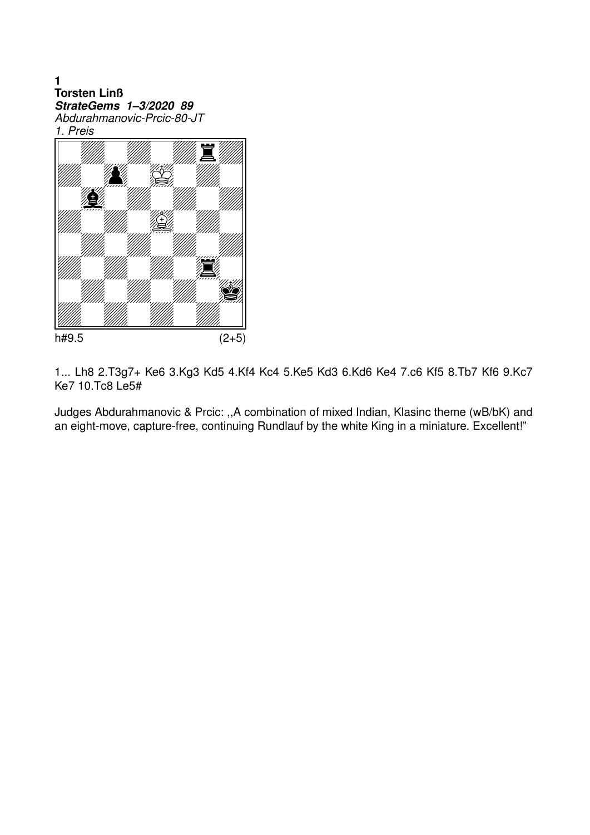$\blacksquare$ **Torsten Linß** StrateGems 1-3/2020 89 Abdurahmanovic-Prcic-80-JT 1. Preis



1... Lh8 2.T3g7+ Ke6 3.Kg3 Kd5 4.Kf4 Kc4 5.Ke5 Kd3 6.Kd6 Ke4 7.c6 Kf5 8.Tb7 Kf6 9.Kc7 Ke7 10.Tc8 Le5#

Judges Abdurahmanovic & Prcic: "A combination of mixed Indian, Klasinc theme (wB/bK) and an eight-move, capture-free, continuing Rundlauf by the white King in a miniature. Excellent!"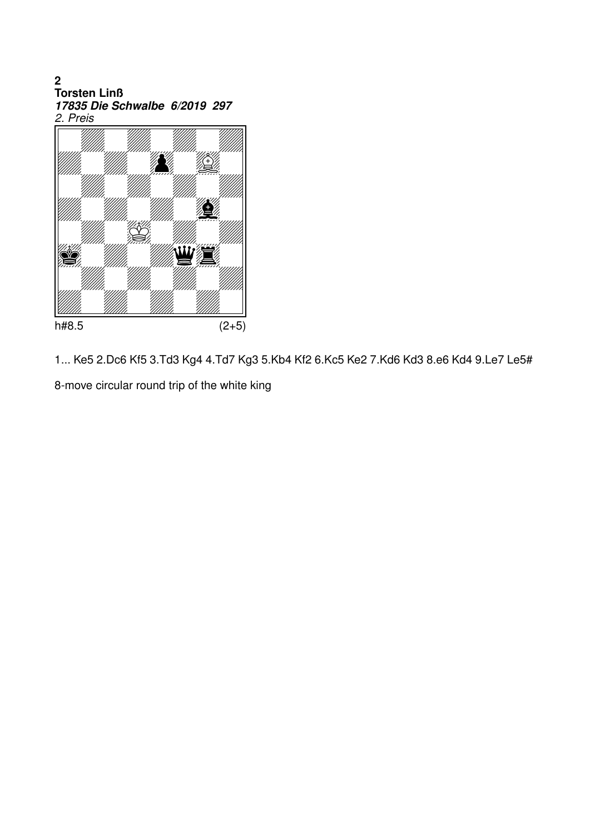2<br>Torsten Linß 17835 Die Schwalbe 6/2019 297 2. Preis



1... Ke5 2.Dc6 Kf5 3.Td3 Kg4 4.Td7 Kg3 5.Kb4 Kf2 6.Kc5 Ke2 7.Kd6 Kd3 8.e6 Kd4 9.Le7 Le5#

8-move circular round trip of the white king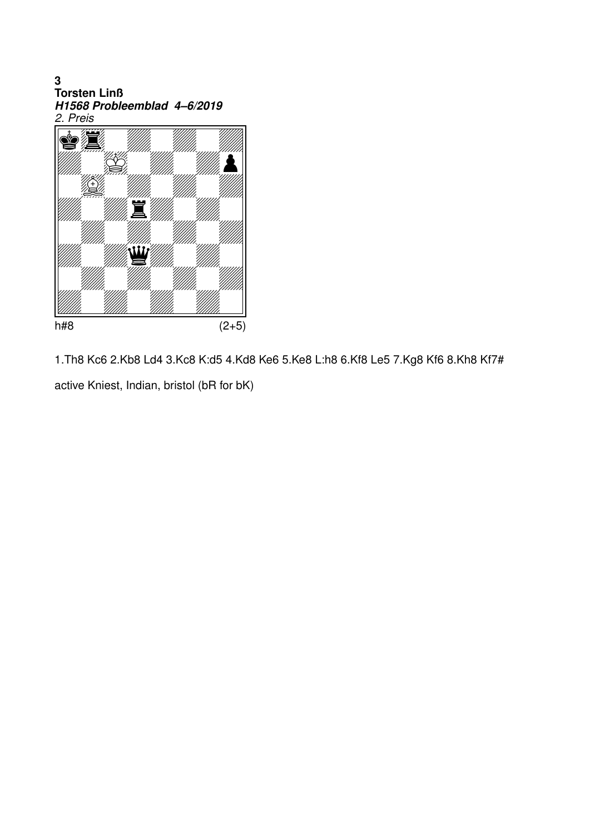3<br>Torsten Linß H1568 Probleemblad 4–6/2019<br>2. Preis



1. Th8 Kc6 2. Kb8 Ld4 3. Kc8 K: d5 4. Kd8 Ke6 5. Ke8 L: h8 6. Kf8 Le5 7. Kg8 Kf6 8. Kh8 Kf7# active Kniest, Indian, bristol (bR for bK)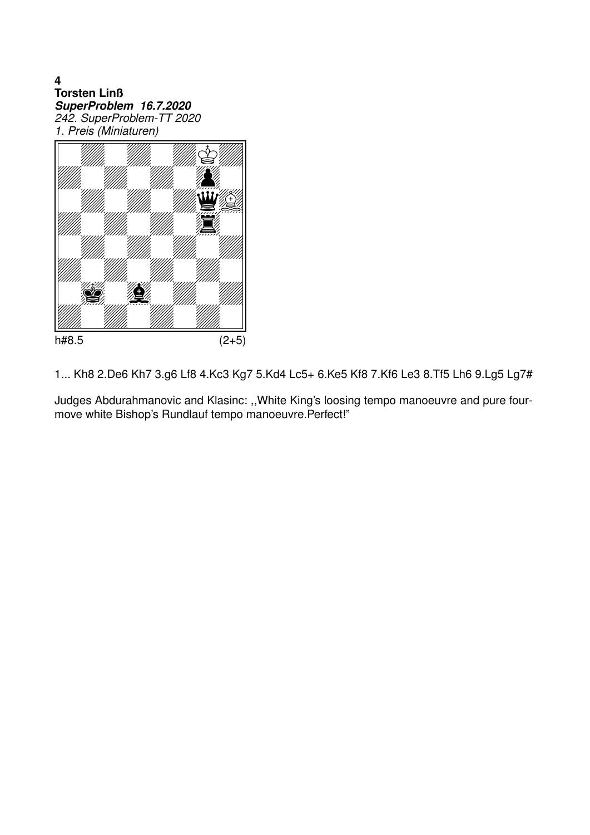$\overline{\mathbf{4}}$ **Torsten Linß** SuperProblem 16.7.2020<br>242. SuperProblem-TT 2020 1. Preis (Miniaturen)



1... Kh8 2.De6 Kh7 3.g6 Lf8 4.Kc3 Kg7 5.Kd4 Lc5+ 6.Ke5 Kf8 7.Kf6 Le3 8.Tf5 Lh6 9.Lg5 Lg7#

Judges Abdurahmanovic and Klasinc: "White King's loosing tempo manoeuvre and pure fourmove white Bishop's Rundlauf tempo manoeuvre.Perfect!"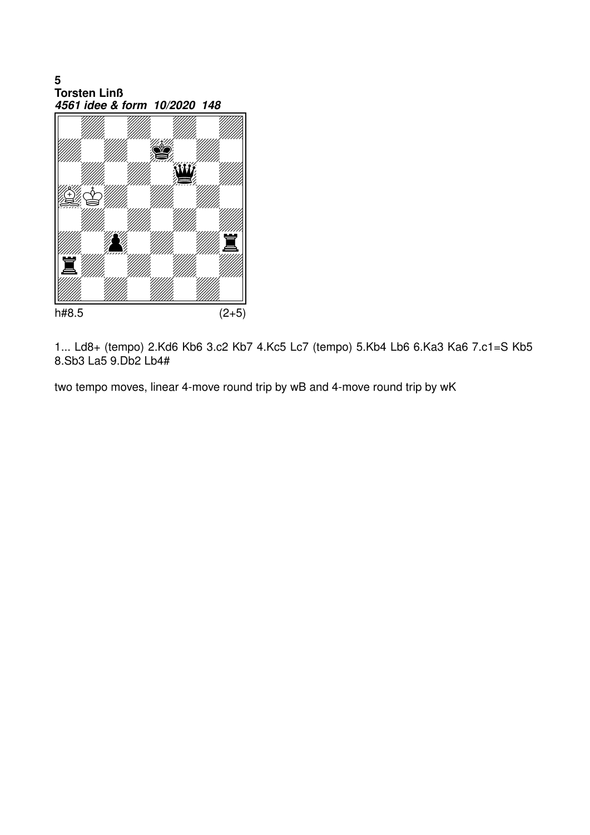5<br>Torsten Linß 4561 idee & form 10/2020 148



1... Ld8+ (tempo) 2.Kd6 Kb6 3.c2 Kb7 4.Kc5 Lc7 (tempo) 5.Kb4 Lb6 6.Ka3 Ka6 7.c1=S Kb5 8.Sb3 La5 9.Db2 Lb4#

two tempo moves, linear 4-move round trip by wB and 4-move round trip by wK